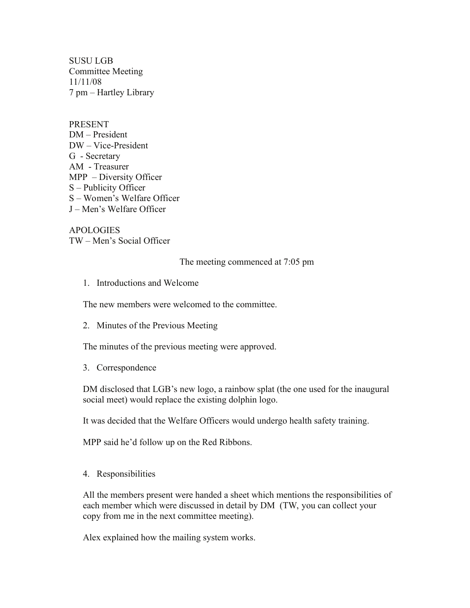SUSU LGB Committee Meeting 11/11/08 7 pm – Hartley Library

PRESENT DM – President DW – Vice-President G - Secretary AM - Treasurer MPP – Diversity Officer S – Publicity Officer S – Women's Welfare Officer J – Men's Welfare Officer

APOLOGIES TW – Men's Social Officer

The meeting commenced at 7:05 pm

1. Introductions and Welcome

The new members were welcomed to the committee.

2. Minutes of the Previous Meeting

The minutes of the previous meeting were approved.

3. Correspondence

DM disclosed that LGB's new logo, a rainbow splat (the one used for the inaugural social meet) would replace the existing dolphin logo.

It was decided that the Welfare Officers would undergo health safety training.

MPP said he'd follow up on the Red Ribbons.

4. Responsibilities

All the members present were handed a sheet which mentions the responsibilities of each member which were discussed in detail by DM (TW, you can collect your copy from me in the next committee meeting).

Alex explained how the mailing system works.